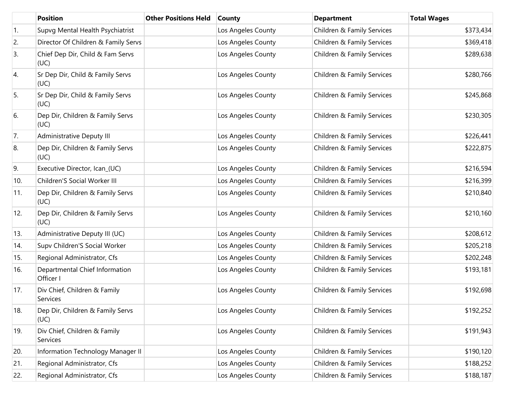|            | <b>Position</b>                             | <b>Other Positions Held</b> | <b>County</b>      | <b>Department</b>          | <b>Total Wages</b> |
|------------|---------------------------------------------|-----------------------------|--------------------|----------------------------|--------------------|
| $\vert$ 1. | Supvg Mental Health Psychiatrist            |                             | Los Angeles County | Children & Family Services | \$373,434          |
| 2.         | Director Of Children & Family Servs         |                             | Los Angeles County | Children & Family Services | \$369,418          |
| 3.         | Chief Dep Dir, Child & Fam Servs<br>(UC)    |                             | Los Angeles County | Children & Family Services | \$289,638          |
| 4.         | Sr Dep Dir, Child & Family Servs<br>(UC)    |                             | Los Angeles County | Children & Family Services | \$280,766          |
| 5.         | Sr Dep Dir, Child & Family Servs<br>(UC)    |                             | Los Angeles County | Children & Family Services | \$245,868          |
| 6.         | Dep Dir, Children & Family Servs<br>(UC)    |                             | Los Angeles County | Children & Family Services | \$230,305          |
| 7.         | Administrative Deputy III                   |                             | Los Angeles County | Children & Family Services | \$226,441          |
| 8.         | Dep Dir, Children & Family Servs<br>(UC)    |                             | Los Angeles County | Children & Family Services | \$222,875          |
| 9.         | Executive Director, Ican_(UC)               |                             | Los Angeles County | Children & Family Services | \$216,594          |
| 10.        | Children'S Social Worker III                |                             | Los Angeles County | Children & Family Services | \$216,399          |
| 11.        | Dep Dir, Children & Family Servs<br>(UC)    |                             | Los Angeles County | Children & Family Services | \$210,840          |
| 12.        | Dep Dir, Children & Family Servs<br>(UC)    |                             | Los Angeles County | Children & Family Services | \$210,160          |
| 13.        | Administrative Deputy III (UC)              |                             | Los Angeles County | Children & Family Services | \$208,612          |
| 14.        | Supv Children'S Social Worker               |                             | Los Angeles County | Children & Family Services | \$205,218          |
| 15.        | Regional Administrator, Cfs                 |                             | Los Angeles County | Children & Family Services | \$202,248          |
| 16.        | Departmental Chief Information<br>Officer I |                             | Los Angeles County | Children & Family Services | \$193,181          |
| 17.        | Div Chief, Children & Family<br>Services    |                             | Los Angeles County | Children & Family Services | \$192,698          |
| 18.        | Dep Dir, Children & Family Servs<br>(UC)    |                             | Los Angeles County | Children & Family Services | \$192,252          |
| 19.        | Div Chief, Children & Family<br>Services    |                             | Los Angeles County | Children & Family Services | \$191,943          |
| 20.        | Information Technology Manager II           |                             | Los Angeles County | Children & Family Services | \$190,120          |
| 21.        | Regional Administrator, Cfs                 |                             | Los Angeles County | Children & Family Services | \$188,252          |
| 22.        | Regional Administrator, Cfs                 |                             | Los Angeles County | Children & Family Services | \$188,187          |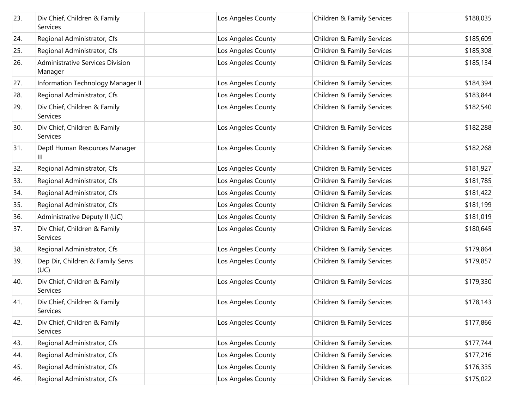| 23. | Div Chief, Children & Family<br>Services    | Los Angeles County | Children & Family Services | \$188,035 |
|-----|---------------------------------------------|--------------------|----------------------------|-----------|
| 24. | Regional Administrator, Cfs                 | Los Angeles County | Children & Family Services | \$185,609 |
| 25. | Regional Administrator, Cfs                 | Los Angeles County | Children & Family Services | \$185,308 |
| 26. | Administrative Services Division<br>Manager | Los Angeles County | Children & Family Services | \$185,134 |
| 27. | Information Technology Manager II           | Los Angeles County | Children & Family Services | \$184,394 |
| 28. | Regional Administrator, Cfs                 | Los Angeles County | Children & Family Services | \$183,844 |
| 29. | Div Chief, Children & Family<br>Services    | Los Angeles County | Children & Family Services | \$182,540 |
| 30. | Div Chief, Children & Family<br>Services    | Los Angeles County | Children & Family Services | \$182,288 |
| 31. | Deptl Human Resources Manager<br>Ш          | Los Angeles County | Children & Family Services | \$182,268 |
| 32. | Regional Administrator, Cfs                 | Los Angeles County | Children & Family Services | \$181,927 |
| 33. | Regional Administrator, Cfs                 | Los Angeles County | Children & Family Services | \$181,785 |
| 34. | Regional Administrator, Cfs                 | Los Angeles County | Children & Family Services | \$181,422 |
| 35. | Regional Administrator, Cfs                 | Los Angeles County | Children & Family Services | \$181,199 |
| 36. | Administrative Deputy II (UC)               | Los Angeles County | Children & Family Services | \$181,019 |
| 37. | Div Chief, Children & Family<br>Services    | Los Angeles County | Children & Family Services | \$180,645 |
| 38. | Regional Administrator, Cfs                 | Los Angeles County | Children & Family Services | \$179,864 |
| 39. | Dep Dir, Children & Family Servs<br>(UC)    | Los Angeles County | Children & Family Services | \$179,857 |
| 40. | Div Chief, Children & Family<br>Services    | Los Angeles County | Children & Family Services | \$179,330 |
| 41. | Div Chief, Children & Family<br>Services    | Los Angeles County | Children & Family Services | \$178,143 |
| 42. | Div Chief, Children & Family<br>Services    | Los Angeles County | Children & Family Services | \$177,866 |
| 43. | Regional Administrator, Cfs                 | Los Angeles County | Children & Family Services | \$177,744 |
| 44. | Regional Administrator, Cfs                 | Los Angeles County | Children & Family Services | \$177,216 |
| 45. | Regional Administrator, Cfs                 | Los Angeles County | Children & Family Services | \$176,335 |
| 46. | Regional Administrator, Cfs                 | Los Angeles County | Children & Family Services | \$175,022 |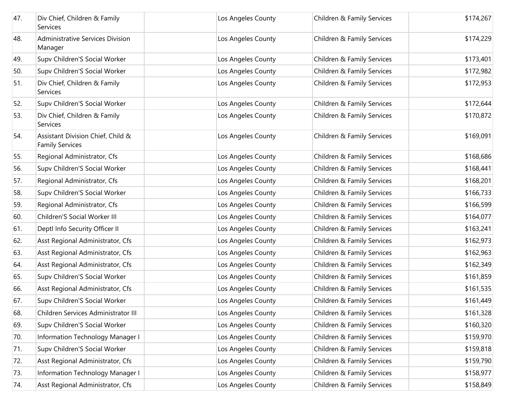| 47. | Div Chief, Children & Family<br>Services                    | Los Angeles County | Children & Family Services | \$174,267 |
|-----|-------------------------------------------------------------|--------------------|----------------------------|-----------|
| 48. | <b>Administrative Services Division</b><br>Manager          | Los Angeles County | Children & Family Services | \$174,229 |
| 49. | Supv Children'S Social Worker                               | Los Angeles County | Children & Family Services | \$173,401 |
| 50. | Supv Children'S Social Worker                               | Los Angeles County | Children & Family Services | \$172,982 |
| 51. | Div Chief, Children & Family<br>Services                    | Los Angeles County | Children & Family Services | \$172,953 |
| 52. | Supv Children'S Social Worker                               | Los Angeles County | Children & Family Services | \$172,644 |
| 53. | Div Chief, Children & Family<br>Services                    | Los Angeles County | Children & Family Services | \$170,872 |
| 54. | Assistant Division Chief, Child &<br><b>Family Services</b> | Los Angeles County | Children & Family Services | \$169,091 |
| 55. | Regional Administrator, Cfs                                 | Los Angeles County | Children & Family Services | \$168,686 |
| 56. | Supv Children'S Social Worker                               | Los Angeles County | Children & Family Services | \$168,441 |
| 57. | Regional Administrator, Cfs                                 | Los Angeles County | Children & Family Services | \$168,201 |
| 58. | Supv Children'S Social Worker                               | Los Angeles County | Children & Family Services | \$166,733 |
| 59. | Regional Administrator, Cfs                                 | Los Angeles County | Children & Family Services | \$166,599 |
| 60. | Children'S Social Worker III                                | Los Angeles County | Children & Family Services | \$164,077 |
| 61. | Deptl Info Security Officer II                              | Los Angeles County | Children & Family Services | \$163,241 |
| 62. | Asst Regional Administrator, Cfs                            | Los Angeles County | Children & Family Services | \$162,973 |
| 63. | Asst Regional Administrator, Cfs                            | Los Angeles County | Children & Family Services | \$162,963 |
| 64. | Asst Regional Administrator, Cfs                            | Los Angeles County | Children & Family Services | \$162,349 |
| 65. | Supv Children'S Social Worker                               | Los Angeles County | Children & Family Services | \$161,859 |
| 66. | Asst Regional Administrator, Cfs                            | Los Angeles County | Children & Family Services | \$161,535 |
| 67. | Supv Children'S Social Worker                               | Los Angeles County | Children & Family Services | \$161,449 |
| 68. | Children Services Administrator III                         | Los Angeles County | Children & Family Services | \$161,328 |
| 69. | Supv Children'S Social Worker                               | Los Angeles County | Children & Family Services | \$160,320 |
| 70. | Information Technology Manager I                            | Los Angeles County | Children & Family Services | \$159,970 |
| 71. | Supv Children'S Social Worker                               | Los Angeles County | Children & Family Services | \$159,818 |
| 72. | Asst Regional Administrator, Cfs                            | Los Angeles County | Children & Family Services | \$159,790 |
| 73. | Information Technology Manager I                            | Los Angeles County | Children & Family Services | \$158,977 |
| 74. | Asst Regional Administrator, Cfs                            | Los Angeles County | Children & Family Services | \$158,849 |